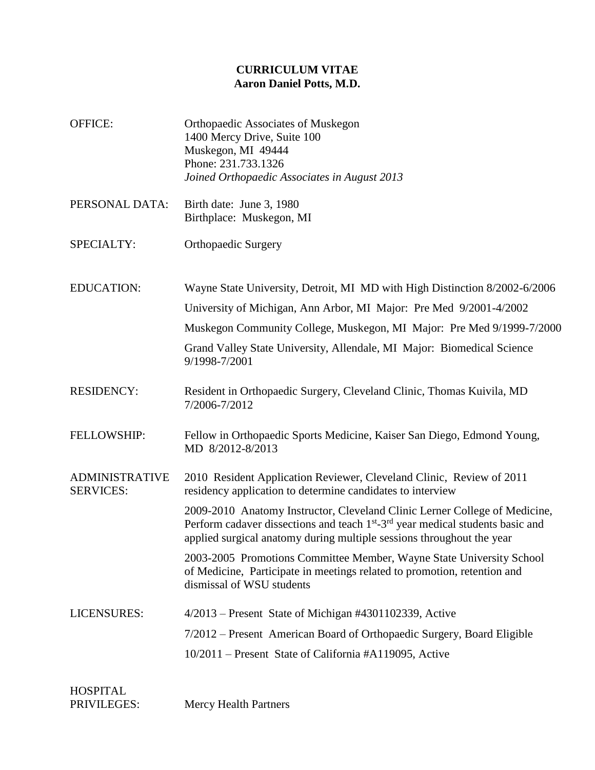## **CURRICULUM VITAE Aaron Daniel Potts, M.D.**

- OFFICE: Orthopaedic Associates of Muskegon 1400 Mercy Drive, Suite 100 Muskegon, MI 49444 Phone: 231.733.1326 *Joined Orthopaedic Associates in August 2013*
- PERSONAL DATA: Birth date: June 3, 1980 Birthplace: Muskegon, MI
- SPECIALTY: Orthopaedic Surgery
- EDUCATION: Wayne State University, Detroit, MI MD with High Distinction 8/2002-6/2006 University of Michigan, Ann Arbor, MI Major: Pre Med 9/2001-4/2002 Muskegon Community College, Muskegon, MI Major: Pre Med 9/1999-7/2000
	- Grand Valley State University, Allendale, MI Major: Biomedical Science 9/1998-7/2001
- RESIDENCY: Resident in Orthopaedic Surgery, Cleveland Clinic, Thomas Kuivila, MD 7/2006-7/2012
- FELLOWSHIP: Fellow in Orthopaedic Sports Medicine, Kaiser San Diego, Edmond Young, MD 8/2012-8/2013
- ADMINISTRATIVE SERVICES: 2010 Resident Application Reviewer, Cleveland Clinic, Review of 2011 residency application to determine candidates to interview

2009-2010 Anatomy Instructor, Cleveland Clinic Lerner College of Medicine, Perform cadaver dissections and teach  $1<sup>st</sup> - 3<sup>rd</sup>$  year medical students basic and applied surgical anatomy during multiple sessions throughout the year

2003-2005 Promotions Committee Member, Wayne State University School of Medicine, Participate in meetings related to promotion, retention and dismissal of WSU students

LICENSURES: 4/2013 – Present State of Michigan #4301102339, Active 7/2012 – Present American Board of Orthopaedic Surgery, Board Eligible 10/2011 – Present State of California #A119095, Active

| <b>HOSPITAL</b> |                              |
|-----------------|------------------------------|
| PRIVILEGES:     | <b>Mercy Health Partners</b> |